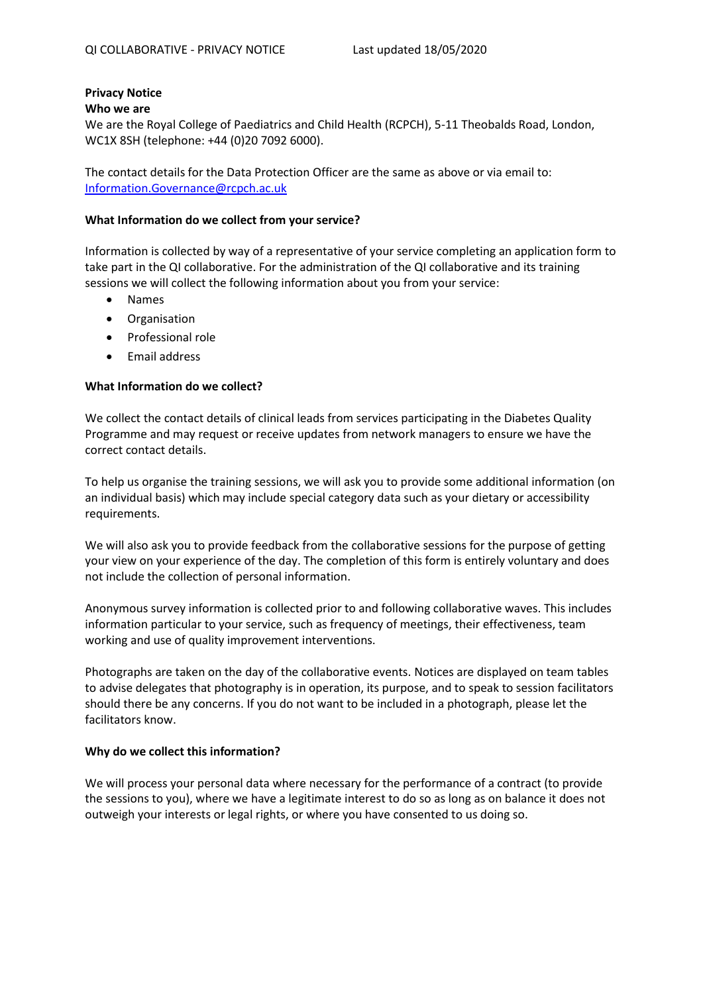# **Privacy Notice**

## **Who we are**

We are the Royal College of Paediatrics and Child Health (RCPCH), 5-11 Theobalds Road, London, WC1X 8SH (telephone: +44 (0)20 7092 6000).

The contact details for the Data Protection Officer are the same as above or via email to: [Information.Governance@rcpch.ac.uk](mailto:Information.Governance@rcpch.ac.uk)

#### **What Information do we collect from your service?**

Information is collected by way of a representative of your service completing an application form to take part in the QI collaborative. For the administration of the QI collaborative and its training sessions we will collect the following information about you from your service:

- Names
- Organisation
- Professional role
- Email address

## **What Information do we collect?**

We collect the contact details of clinical leads from services participating in the Diabetes Quality Programme and may request or receive updates from network managers to ensure we have the correct contact details.

To help us organise the training sessions, we will ask you to provide some additional information (on an individual basis) which may include special category data such as your dietary or accessibility requirements.

We will also ask you to provide feedback from the collaborative sessions for the purpose of getting your view on your experience of the day. The completion of this form is entirely voluntary and does not include the collection of personal information.

Anonymous survey information is collected prior to and following collaborative waves. This includes information particular to your service, such as frequency of meetings, their effectiveness, team working and use of quality improvement interventions.

Photographs are taken on the day of the collaborative events. Notices are displayed on team tables to advise delegates that photography is in operation, its purpose, and to speak to session facilitators should there be any concerns. If you do not want to be included in a photograph, please let the facilitators know.

#### **Why do we collect this information?**

We will process your personal data where necessary for the performance of a contract (to provide the sessions to you), where we have a legitimate interest to do so as long as on balance it does not outweigh your interests or legal rights, or where you have consented to us doing so.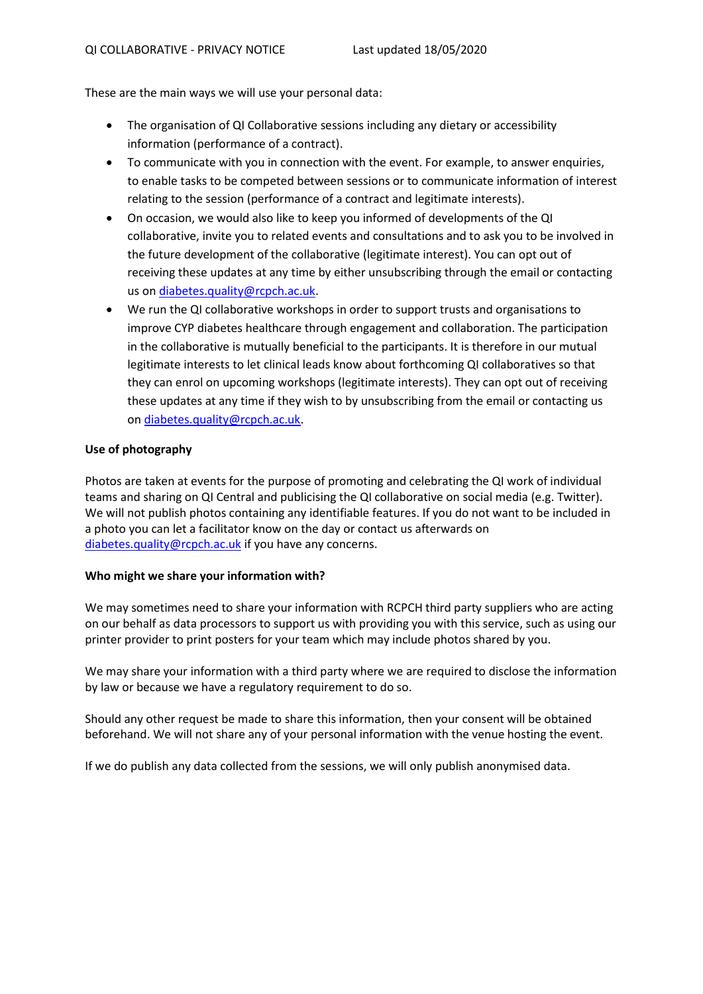These are the main ways we will use your personal data:

- The organisation of QI Collaborative sessions including any dietary or accessibility information (performance of a contract).
- To communicate with you in connection with the event. For example, to answer enquiries, to enable tasks to be competed between sessions or to communicate information of interest relating to the session (performance of a contract and legitimate interests).
- On occasion, we would also like to keep you informed of developments of the QI collaborative, invite you to related events and consultations and to ask you to be involved in the future development of the collaborative (legitimate interest). You can opt out of receiving these updates at any time by either unsubscribing through the email or contacting us o[n diabetes.quality@rcpch.ac.uk.](mailto:diabetes.quality@rcpch.ac.uk)
- We run the QI collaborative workshops in order to support trusts and organisations to improve CYP diabetes healthcare through engagement and collaboration. The participation in the collaborative is mutually beneficial to the participants. It is therefore in our mutual legitimate interests to let clinical leads know about forthcoming QI collaboratives so that they can enrol on upcoming workshops (legitimate interests). They can opt out of receiving these updates at any time if they wish to by unsubscribing from the email or contacting us on [diabetes.quality@rcpch.ac.uk.](mailto:diabetes.quality@rcpch.ac.uk)

## **Use of photography**

Photos are taken at events for the purpose of promoting and celebrating the QI work of individual teams and sharing on QI Central and publicising the QI collaborative on social media (e.g. Twitter). We will not publish photos containing any identifiable features. If you do not want to be included in a photo you can let a facilitator know on the day or contact us afterwards on [diabetes.quality@rcpch.ac.uk](mailto:diabetes.quality@rcpch.ac.uk) if you have any concerns.

#### **Who might we share your information with?**

We may sometimes need to share your information with RCPCH third party suppliers who are acting on our behalf as data processors to support us with providing you with this service, such as using our printer provider to print posters for your team which may include photos shared by you.

We may share your information with a third party where we are required to disclose the information by law or because we have a regulatory requirement to do so.

Should any other request be made to share this information, then your consent will be obtained beforehand. We will not share any of your personal information with the venue hosting the event.

If we do publish any data collected from the sessions, we will only publish anonymised data.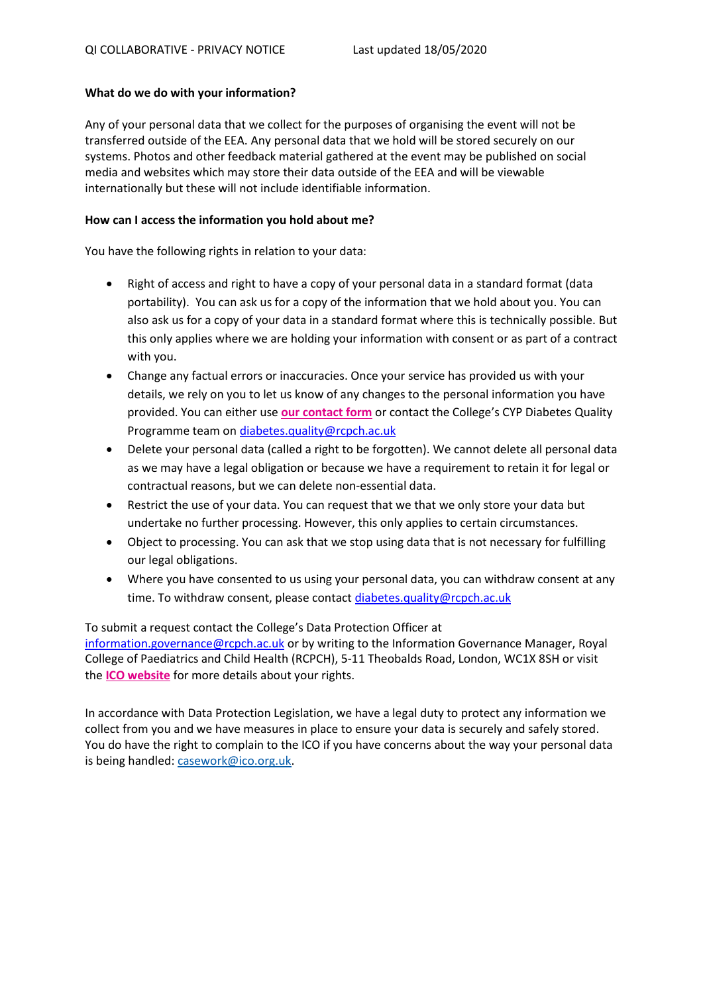## **What do we do with your information?**

Any of your personal data that we collect for the purposes of organising the event will not be transferred outside of the EEA. Any personal data that we hold will be stored securely on our systems. Photos and other feedback material gathered at the event may be published on social media and websites which may store their data outside of the EEA and will be viewable internationally but these will not include identifiable information.

### **How can I access the information you hold about me?**

You have the following rights in relation to your data:

- Right of access and right to have a copy of your personal data in a standard format (data portability). You can ask us for a copy of the information that we hold about you. You can also ask us for a copy of your data in a standard format where this is technically possible. But this only applies where we are holding your information with consent or as part of a contract with you.
- Change any factual errors or inaccuracies. Once your service has provided us with your details, we rely on you to let us know of any changes to the personal information you have provided. You can either use **[our contact form](https://www.rcpch.ac.uk/form/contact-us)** or contact the College's CYP Diabetes Quality Programme team on [diabetes.quality@rcpch.ac.uk](mailto:diabetes.quality@rcpch.ac.uk)
- Delete your personal data (called a right to be forgotten). We cannot delete all personal data as we may have a legal obligation or because we have a requirement to retain it for legal or contractual reasons, but we can delete non-essential data.
- Restrict the use of your data. You can request that we that we only store your data but undertake no further processing. However, this only applies to certain circumstances.
- Object to processing. You can ask that we stop using data that is not necessary for fulfilling our legal obligations.
- Where you have consented to us using your personal data, you can withdraw consent at any time. To withdraw consent, please contac[t diabetes.quality@rcpch.ac.uk](mailto:diabetes.quality@rcpch.ac.uk)

To submit a request contact the College's Data Protection Officer at [information.governance@rcpch.ac.uk](mailto:information.governance@rcpch.ac.uk) or by writing to the Information Governance Manager, Royal College of Paediatrics and Child Health (RCPCH), 5-11 Theobalds Road, London, WC1X 8SH or visit the **[ICO website](https://ico.org.uk/for-organisations/guide-to-the-general-data-protection-regulation-gdpr/)** for more details about your rights.

In accordance with Data Protection Legislation, we have a legal duty to protect any information we collect from you and we have measures in place to ensure your data is securely and safely stored. You do have the right to complain to the ICO if you have concerns about the way your personal data is being handled: [casework@ico.org.uk.](mailto:casework@ico.org.uk)